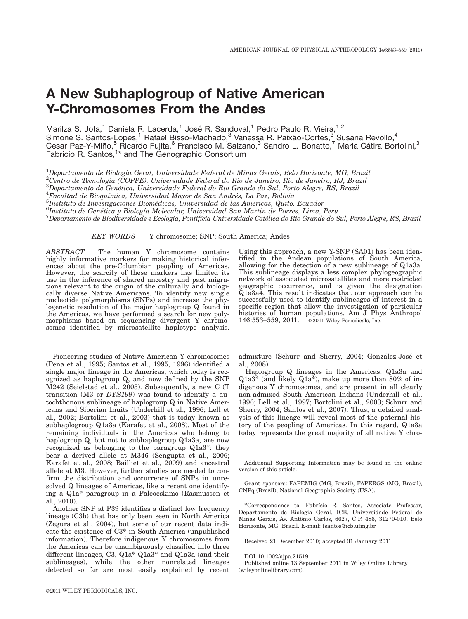# A New Subhaplogroup of Native American Y-Chromosomes From the Andes

Marilza S. Jota,<sup>1</sup> Daniela R. Lacerda,<sup>1</sup> José R. Sandoval,<sup>1</sup> Pedro Paulo R. Vieira,<sup>1,2</sup> Simone S. Santos-Lopes,<sup>1</sup> Rafael Bisso-Machado,<sup>3</sup> Vanessa R. Paixão-Cortes,<sup>3</sup> Susana Revollo,<sup>4</sup> Cesar Paz-Y-Miño,<sup>5</sup> Ricardo Fujita,<sup>6</sup> Francisco M. Salzano,<sup>3</sup> Sandro L. Bonatto,<sup>7</sup> Maria Cátira Bortolini,<sup>3</sup> Fabrício R. Santos,<sup>1\*</sup> and The Genographic Consortium

 $^1$ Departamento de Biologia Geral, Universidade Federal de Minas Gerais, Belo Horizonte, MG, Brazil  $^{2}$ Centro de Tecnologia (COPPE), Universidade Federal do Rio de Janeiro, Rio de Janeiro, RJ, Brazil  ${}^{3}$ Departamento de Genética, Universidade Federal do Rio Grande do Sul, Porto Alegre, RS, Brazil<br><sup>4</sup>Egaultad de Piequímica, Universidad Mayor de San Andrée, La Paz, Pelivia

 ${}^{4}$ Facultad de Bioquímica, Universidad Mayor de San Andrés, La Paz, Bolivia

 $^5$ Instituto de Investigaciones Biomédicas, Universidad de las Americas, Quito, Ecuador

<sup>6</sup>Instituto de Genética y Biología Molecular, Universidad San Martin de Porres, Lima, Peru

 $^7$ Departamento de Biodiversidade e Ecologia, Pontifícia Universidade Católica do Rio Grande do Sul, Porto Alegre, RS, Brazil

KEY WORDS Y chromosome; SNP; South America; Andes

ABSTRACT The human Y chromosome contains highly informative markers for making historical inferences about the pre-Columbian peopling of Americas. However, the scarcity of these markers has limited its use in the inference of shared ancestry and past migrations relevant to the origin of the culturally and biologically diverse Native Americans. To identify new single nucleotide polymorphisms (SNPs) and increase the phylogenetic resolution of the major haplogroup Q found in the Americas, we have performed a search for new polymorphisms based on sequencing divergent Y chromosomes identified by microsatellite haplotype analysis.

Pioneering studies of Native American Y chromosomes (Pena et al., 1995; Santos et al., 1995, 1996) identified a single major lineage in the Americas, which today is recognized as haplogroup Q, and now defined by the SNP M242 (Seielstad et al., 2003). Subsequently, a new C (T transition (M3 or DYS199) was found to identify a autochthonous sublineage of haplogroup Q in Native Americans and Siberian Inuits (Underhill et al., 1996; Lell et al., 2002; Bortolini et al., 2003) that is today known as subhaplogroup Q1a3a (Karafet et al., 2008). Most of the remaining individuals in the Americas who belong to haplogroup Q, but not to subhaplogroup Q1a3a, are now recognized as belonging to the paragroup Q1a3\*: they bear a derived allele at M346 (Sengupta et al., 2006; Karafet et al., 2008; Bailliet et al., 2009) and ancestral allele at M3. However, further studies are needed to confirm the distribution and occurrence of SNPs in unresolved Q lineages of Americas, like a recent one identifying a Q1a\* paragroup in a Paleoeskimo (Rasmussen et al., 2010).

Another SNP at P39 identifies a distinct low frequency lineage (C3b) that has only been seen in North America (Zegura et al., 2004), but some of our recent data indicate the existence of C3\* in South America (unpublished information). Therefore indigenous Y chromosomes from the Americas can be unambiguously classified into three different lineages, C3, Q1a\* Q1a3\* and Q1a3a (and their sublineages), while the other nonrelated lineages detected so far are most easily explained by recent Using this approach, a new Y-SNP (SA01) has been identified in the Andean populations of South America, allowing for the detection of a new sublineage of Q1a3a. This sublineage displays a less complex phylogeographic network of associated microsatellites and more restricted geographic occurrence, and is given the designation Q1a3a4. This result indicates that our approach can be successfully used to identify sublineages of interest in a specific region that allow the investigation of particular histories of human populations. Am J Phys Anthropol 146:553-559, 2011.  $\circ$  2011 Wiley Periodicals, Inc.

admixture (Schurr and Sherry, 2004; González-José et al., 2008).

Haplogroup Q lineages in the Americas, Q1a3a and Q1a3\* (and likely Q1a\*), make up more than 80% of indigenous Y chromosomes, and are present in all clearly non-admixed South American Indians (Underhill et al., 1996; Lell et al., 1997; Bortolini et al., 2003; Schurr and Sherry, 2004; Santos et al., 2007). Thus, a detailed analysis of this lineage will reveal most of the paternal history of the peopling of Americas. In this regard, Q1a3a today represents the great majority of all native Y chro-

Grant sponsors: FAPEMIG (MG, Brazil), FAPERGS (MG, Brazil), CNPq (Brazil), National Geographic Society (USA).

\*Correspondence to: Fabrı´cio R. Santos, Associate Professor, Departamento de Biologia Geral, ICB, Universidade Federal de Minas Gerais, Av. Antônio Carlos, 6627, C.P. 486, 31270-010, Belo Horizonte, MG, Brazil. E-mail: fsantos@icb.ufmg.br

Received 21 December 2010; accepted 31 January 2011

DOI 10.1002/ajpa.21519

Published online 13 September 2011 in Wiley Online Library (wileyonlinelibrary.com).

Additional Supporting Information may be found in the online version of this article.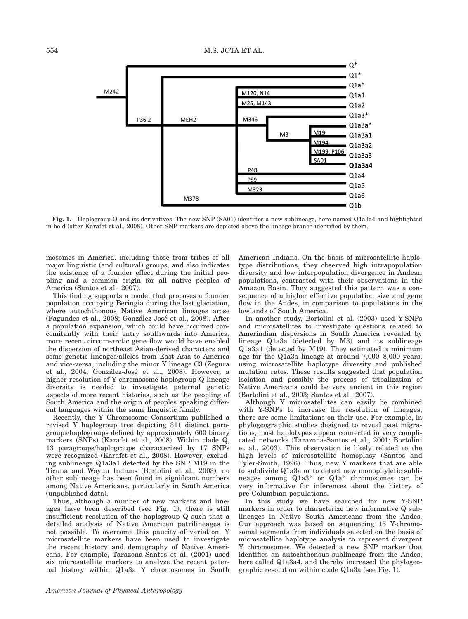

Fig. 1. Haplogroup Q and its derivatives. The new SNP (SA01) identifies a new sublineage, here named Q1a3a4 and highlighted in bold (after Karafet et al., 2008). Other SNP markers are depicted above the lineage branch identified by them.

mosomes in America, including those from tribes of all major linguistic (and cultural) groups, and also indicates the existence of a founder effect during the initial peopling and a common origin for all native peoples of America (Santos et al., 2007).

This finding supports a model that proposes a founder population occupying Beringia during the last glaciation, where autochthonous Native American lineages arose (Fagundes et al., 2008; González-José et al., 2008). After a population expansion, which could have occurred concomitantly with their entry southwards into America, more recent circum-arctic gene flow would have enabled the dispersion of northeast Asian-derived characters and some genetic lineages/alleles from East Asia to America and vice-versa, including the minor Y lineage C3 (Zegura et al., 2004; González-José et al., 2008). However, a higher resolution of Y chromosome haplogroup Q lineage diversity is needed to investigate paternal genetic aspects of more recent histories, such as the peopling of South America and the origin of peoples speaking different languages within the same linguistic family.

Recently, the Y Chromosome Consortium published a revised Y haplogroup tree depicting 311 distinct paragroups/haplogroups defined by approximately 600 binary markers (SNPs) (Karafet et al., 2008). Within clade Q, 13 paragroups/haplogroups characterized by 17 SNPs were recognized (Karafet et al., 2008). However, excluding sublineage Q1a3a1 detected by the SNP M19 in the Ticuna and Wayuu Indians (Bortolini et al., 2003), no other sublineage has been found in significant numbers among Native Americans, particularly in South America (unpublished data).

Thus, although a number of new markers and lineages have been described (see Fig. 1), there is still insufficient resolution of the haplogroup Q such that a detailed analysis of Native American patrilineages is not possible. To overcome this paucity of variation, Y microsatellite markers have been used to investigate the recent history and demography of Native Americans. For example, Tarazona-Santos et al. (2001) used six microsatellite markers to analyze the recent paternal history within Q1a3a Y chromosomes in South American Indians. On the basis of microsatellite haplotype distributions, they observed high intrapopulation diversity and low interpopulation divergence in Andean populations, contrasted with their observations in the Amazon Basin. They suggested this pattern was a consequence of a higher effective population size and gene flow in the Andes, in comparison to populations in the lowlands of South America.

In another study, Bortolini et al. (2003) used Y-SNPs and microsatellites to investigate questions related to Amerindian dispersions in South America revealed by lineage Q1a3a (detected by M3) and its sublineage Q1a3a1 (detected by M19). They estimated a minimum age for the Q1a3a lineage at around 7,000–8,000 years, using microsatellite haplotype diversity and published mutation rates. These results suggested that population isolation and possibly the process of tribalization of Native Americans could be very ancient in this region (Bortolini et al., 2003; Santos et al., 2007).

Although Y microsatellites can easily be combined with Y-SNPs to increase the resolution of lineages, there are some limitations on their use. For example, in phylogeographic studies designed to reveal past migrations, most haplotypes appear connected in very complicated networks (Tarazona-Santos et al., 2001; Bortolini et al., 2003). This observation is likely related to the high levels of microsatellite homoplasy (Santos and Tyler-Smith, 1996). Thus, new Y markers that are able to subdivide Q1a3a or to detect new monophyletic sublineages among Q1a3\* or Q1a\* chromosomes can be very informative for inferences about the history of pre-Columbian populations.

In this study we have searched for new Y-SNP markers in order to characterize new informative Q sublineages in Native South Americans from the Andes. Our approach was based on sequencing 15 Y-chromosomal segments from individuals selected on the basis of microsatellite haplotype analysis to represent divergent Y chromosomes. We detected a new SNP marker that identifies an autochthonous sublineage from the Andes, here called Q1a3a4, and thereby increased the phylogeographic resolution within clade Q1a3a (see Fig. 1).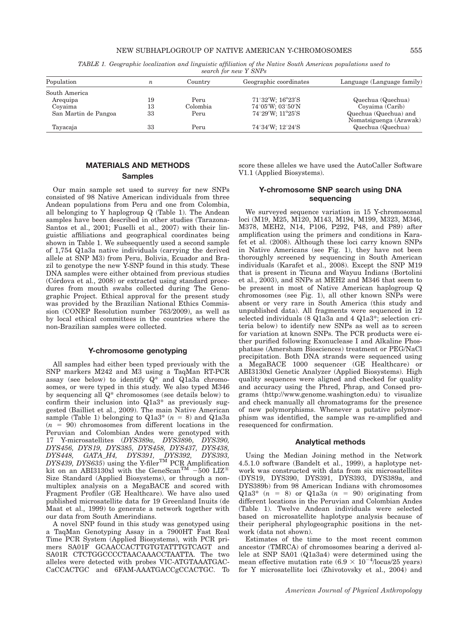#### NEW SUBHAPLOGROUP OF NATIVE AMERICAN Y-CHROMOSOMES 555

|  |  |                       |  |  | TABLE 1. Geographic localization and linguistic affiliation of the Native South American populations used to |  |
|--|--|-----------------------|--|--|--------------------------------------------------------------------------------------------------------------|--|
|  |  | search for new Y SNPs |  |  |                                                                                                              |  |

| Population           | $\boldsymbol{n}$ | Country  | Geographic coordinates              | Language (Language family)                      |  |  |  |  |  |  |  |
|----------------------|------------------|----------|-------------------------------------|-------------------------------------------------|--|--|--|--|--|--|--|
| South America        |                  |          |                                     |                                                 |  |  |  |  |  |  |  |
| Arequipa             | 19               | Peru     | $71^{\circ}32'W$ ; $16^{\circ}23'S$ | Quechua (Quechua)                               |  |  |  |  |  |  |  |
| Covaima              | 13               | Colombia | $74^{\circ}05'W$ ; $03^{\circ}50'N$ | Covaima (Carib)                                 |  |  |  |  |  |  |  |
| San Martin de Pangoa | 33               | Peru     | $74^{\circ}29'W$ ; $11^{\circ}25'S$ | Quechua (Quechua) and<br>Nomatsiguenga (Arawak) |  |  |  |  |  |  |  |
| Tayacaja             | 33               | Peru     | 74°34′W: 12°24′S                    | Quechua (Quechua)                               |  |  |  |  |  |  |  |

# MATERIALS AND METHODS

## Samples

Our main sample set used to survey for new SNPs consisted of 98 Native American individuals from three Andean populations from Peru and one from Colombia, all belonging to Y haplogroup Q (Table 1). The Andean samples have been described in other studies (Tarazona-Santos et al., 2001; Fuselli et al., 2007) with their linguistic affiliations and geographical coordinates being shown in Table 1. We subsequently used a second sample of 1,754 Q1a3a native individuals (carrying the derived allele at SNP M3) from Peru, Bolivia, Ecuador and Brazil to genotype the new Y-SNP found in this study. These DNA samples were either obtained from previous studies  $(Córdova et al., 2008)$  or extracted using standard procedures from mouth swabs collected during The Genographic Project. Ethical approval for the present study was provided by the Brazilian National Ethics Commission (CONEP Resolution number 763/2009), as well as by local ethical committees in the countries where the non-Brazilian samples were collected.

### Y-chromosome genotyping

All samples had either been typed previously with the SNP markers M242 and M3 using a TaqMan RT-PCR assay (see below) to identify  $Q^*$  and  $Q1a3a$  chromosomes, or were typed in this study. We also typed M346 by sequencing all Q\* chromosomes (see details below) to confirm their inclusion into Q1a3\* as previously suggested (Bailliet et al., 2009). The main Native American sample (Table 1) belonging to  $Q1a3^*$  ( $n = 8$ ) and  $Q1a3a$  $(n = 90)$  chromosomes from different locations in the Peruvian and Colombian Andes were genotyped with 17 Y-microsatellites (DYS389a, DYS389b, DYS390, DYS456, DYS19, DYS385, DYS458, DYS437, DYS438, DYS448, GATA\_H4, DYS391, DYS392, DYS393,<br>DYS439, DYS635) using the Y-filer<sup>TM</sup> PCR\_Amplification kit on an ABI3130xl with the GeneScan<sup>TM</sup>  $-500$  LIZ<sup>®</sup> Size Standard (Applied Biosystems), or through a nonmultiplex analysis on a MegaBACE and scored with Fragment Profiler (GE Healthcare). We have also used published microsatellite data for 19 Greenland Inuits (de Maat et al., 1999) to generate a network together with our data from South Amerindians.

A novel SNP found in this study was genotyped using a TaqMan Genotyping Assay in a 7900HT Fast Real Time PCR System (Applied Biosystems), with PCR primers SA01F GCAACCACTTGTGTATTTGTCAGT and SA01R CTCTGGCCCCTAACAAACCTAATTA. The two alleles were detected with probes VIC-ATGTAAATGAC-CaCCACTGC and 6FAM-AAATGACCgCCACTGC. To score these alleles we have used the AutoCaller Software V1.1 (Applied Biosystems).

## Y-chromosome SNP search using DNA sequencing

We surveyed sequence variation in 15 Y-chromosomal loci (M19, M25, M120, M143, M194, M199, M323, M346, M378, MEH2, N14, P106, P292, P48, and P89) after amplification using the primers and conditions in Karafet et al. (2008). Although these loci carry known SNPs in Native Americans (see Fig. 1), they have not been thoroughly screened by sequencing in South American individuals (Karafet et al., 2008). Except the SNP M19 that is present in Ticuna and Wayuu Indians (Bortolini et al., 2003), and SNPs at MEH2 and M346 that seem to be present in most of Native American haplogroup Q chromosomes (see Fig. 1), all other known SNPs were absent or very rare in South America (this study and unpublished data). All fragments were sequenced in 12 selected individuals (8 Q1a3a and 4 Q1a3\*; selection criteria below) to identify new SNPs as well as to screen for variation at known SNPs. The PCR products were either purified following Exonuclease I and Alkaline Phosphatase (Amersham Biosciences) treatment or PEG/NaCl precipitation. Both DNA strands were sequenced using a MegaBACE 1000 sequencer (GE Healthcare) or ABI3130xl Genetic Analyzer (Applied Biosystems). High quality sequences were aligned and checked for quality and accuracy using the Phred, Phrap, and Consed programs (http://www.genome.washington.edu) to visualize and check manually all chromatograms for the presence of new polymorphisms. Whenever a putative polymorphism was identified, the sample was re-amplified and resequenced for confirmation.

#### Analytical methods

Using the Median Joining method in the Network 4.5.1.0 software (Bandelt et al., 1999), a haplotype network was constructed with data from six microsatellites (DYS19, DYS390, DYS391, DYS393, DYS389a, and DYS389b) from 98 American Indians with chromosomes Q1a3\*  $(n = 8)$  or Q1a3a  $(n = 90)$  originating from different locations in the Peruvian and Colombian Andes (Table 1). Twelve Andean individuals were selected based on microsatellite haplotype analysis because of their peripheral phylogeographic positions in the network (data not shown).

Estimates of the time to the most recent common ancestor (TMRCA) of chromosomes bearing a derived allele at SNP SA01 (Q1a3a4) were determined using the mean effective mutation rate  $(6.9 \times 10^{-4}/\text{locus}/25 \text{ years})$ for Y microsatellite loci (Zhivotovsky et al., 2004) and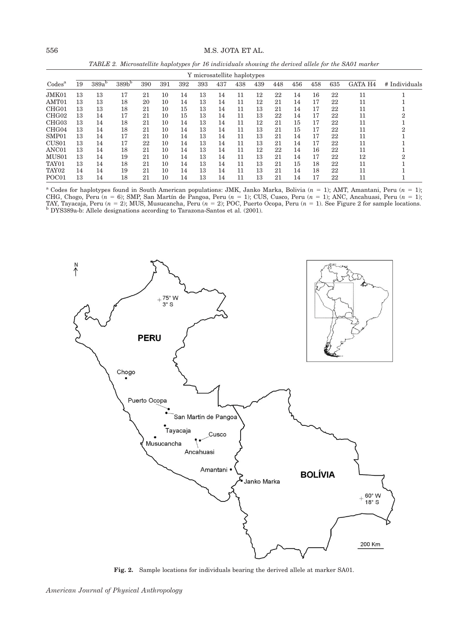# 556 M.S. JOTA ET AL.

TABLE 2. Microsatellite haplotypes for 16 individuals showing the derived allele for the SA01 marker

|                               | Y microsatellite haplotypes |                   |                   |     |     |     |     |     |     |     |     |     |     |     |                |               |
|-------------------------------|-----------------------------|-------------------|-------------------|-----|-----|-----|-----|-----|-----|-----|-----|-----|-----|-----|----------------|---------------|
| $\mathrm{Codes}^{\mathrm{a}}$ | 19                          | 389a <sup>b</sup> | 389b <sup>b</sup> | 390 | 391 | 392 | 393 | 437 | 438 | 439 | 448 | 456 | 458 | 635 | <b>GATA H4</b> | # Individuals |
| JMK01                         | 13                          | 13                | 17                | 21  | 10  | 14  | 13  | 14  | 11  | 12  | 22  | 14  | 16  | 22  | 11             |               |
| AMT01                         | 13                          | 13                | 18                | 20  | 10  | 14  | 13  | 14  | 11  | 12  | 21  | 14  | 17  | 22  | 11             |               |
| CHG <sub>01</sub>             | 13                          | 13                | 18                | 21  | 10  | 15  | 13  | 14  | 11  | 13  | 21  | 14  | 17  | 22  | 11             |               |
| CHG <sub>02</sub>             | 13                          | 14                | 17                | 21  | 10  | 15  | 13  | 14  | 11  | 13  | 22  | 14  | 17  | 22  | 11             |               |
| CHG <sub>03</sub>             | 13                          | 14                | 18                | 21  | 10  | 14  | 13  | 14  | 11  | 12  | 21  | 15  | 17  | 22  | 11             |               |
| CHG <sub>04</sub>             | 13                          | 14                | 18                | 21  | 10  | 14  | 13  | 14  | 11  | 13  | 21  | 15  | 17  | 22  | 11             |               |
| SMP01                         | 13                          | 14                | 17                | 21  | 10  | 14  | 13  | 14  | 11  | 13  | 21  | 14  | 17  | 22  | 11             |               |
| CUS <sub>01</sub>             | 13                          | 14                | 17                | 22  | 10  | 14  | 13  | 14  | 11  | 13  | 21  | 14  | 17  | 22  | 11             |               |
| ANC01                         | 13                          | 14                | 18                | 21  | 10  | 14  | 13  | 14  | 11  | 12  | 22  | 14  | 16  | 22  | 11             |               |
| MUS01                         | 13                          | 14                | 19                | 21  | 10  | 14  | 13  | 14  | 11  | 13  | 21  | 14  | 17  | 22  | 12             |               |
| TAY01                         | 13                          | 14                | 18                | 21  | 10  | 14  | 13  | 14  | 11  | 13  | 21  | 15  | 18  | 22  | 11             |               |
| TAY <sub>02</sub>             | 14                          | 14                | 19                | 21  | 10  | 14  | 13  | 14  | 11  | 13  | 21  | 14  | 18  | 22  | 11             |               |
| POC <sub>01</sub>             | 13                          | 14                | 18                | 21  | 10  | 14  | 13  | 14  | 11  | 13  | 21  | 14  | 17  | 22  | 11             |               |

<sup>a</sup> Codes for haplotypes found in South American populations: JMK, Janko Marka, Bolivia ( $n = 1$ ); AMT, Amantani, Peru ( $n = 1$ ); CHG, Chogo, Peru ( $n = 6$ ); SMP, San Martín de Pangoa, Peru ( $n = 1$ ); CUS, Cusco, Peru ( $n = 1$ ); ANC, Ancahuasi, Peru ( $n = 1$ ); TAY, Tayacaja, Peru (n = 2); MUS, Musucancha, Peru (n = 2); POC, Puerto Ocopa, Peru (n = 1). See Figure 2 for sample locations.<br><sup>b</sup> DYS389a-b: Allele designations according to Tarazona-Santos et al. (2001).



Fig. 2. Sample locations for individuals bearing the derived allele at marker SA01.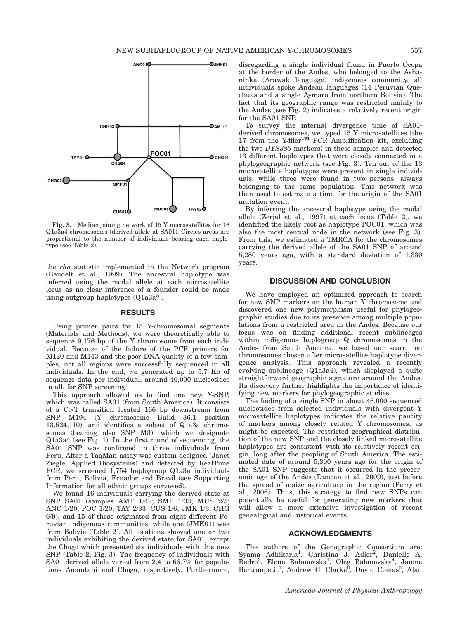

Fig. 3. Median joining network of 15 Y microsatellites for 16 Q1a3a4 chromosomes (derived allele at SA01). Circles areas are proportional to the number of individuals bearing each haplotype (see Table 2).

the rho statistic implemented in the Network program (Bandelt et al., 1999). The ancestral haplotype was inferred using the modal allele at each microsatellite locus as no clear inference of a founder could be made using outgroup haplotypes (Q1a3a\*).

#### RESULTS

Using primer pairs for 15 Y-chromosomal segments (Materials and Methods), we were theoretically able to sequence 9,176 bp of the Y chromosome from each individual. Because of the failure of the PCR primers for M120 and M143 and the poor DNA quality of a few samples, not all regions were successfully sequenced in all individuals. In the end, we generated up to 5.7 Kb of sequence data per individual, around 46,000 nucleotides in all, for SNP screening.

This approach allowed us to find one new Y-SNP, which was called SA01 (from South America). It consists of a  $C>T$  transition located 166 bp downstream from SNP M194 (Y chromosome Build 36.1 position 13,524,110), and identifies a subset of Q1a3a chromosomes (bearing also SNP M3), which we designate Q1a3a4 (see Fig. 1). In the first round of sequencing, the SA01 SNP was confirmed in three individuals from Peru. After a TaqMan assay was custom designed (Janet Ziegle, Applied Biosystems) and detected by RealTime PCR, we screened 1,754 haplogroup Q1a3a individuals from Peru, Bolivia, Ecuador and Brazil (see Supporting Information for all ethnic groups surveyed).

We found 16 individuals carrying the derived state at SNP SA01 (samples AMT 1/42; SMP 1/33; MUS 2/5; ANC 1/20; POC 1/20; TAY 2/33; CUS 1/6; JMK 1/3; CHG 6/9), and 15 of these originated from eight different Peruvian indigenous communities, while one (JMK01) was from Bolivia (Table 2). All locations showed one or two individuals exhibiting the derived state for SA01, except the Chogo which presented six individuals with this new SNP (Table 2, Fig. 3). The frequency of individuals with SA01 derived allele varied from 2.4 to 66.7% for populations Amantani and Chogo, respectively. Furthermore, disregarding a single individual found in Puerto Ocopa at the border of the Andes, who belonged to the Ashaninka (Arawak language) indigenous community, all individuals spoke Andean languages (14 Peruvian Quechuas and a single Aymara from northern Bolivia). The fact that its geographic range was restricted mainly to the Andes (see Fig. 2) indicates a relatively recent origin for the SA01 SNP.

To survey the internal divergence time of SA01 derived chromosomes, we typed 15 Y microsatellites (the 17 from the Y-filer<sup>TM</sup> PCR Amplification kit, excluding the two DYS385 markers) in these samples and detected 13 different haplotypes that were closely connected in a phylogeographic network (see Fig. 3). Ten out of the 13 microsatellite haplotypes were present in single individuals, while three were found in two persons, always belonging to the same population. This network was then used to estimate a time for the origin of the SA01 mutation event.

By inferring the ancestral haplotype using the modal allele (Zerjal et al., 1997) at each locus (Table 2), we identified the likely root as haplotype POC01, which was also the most central node in the network (see Fig. 3). From this, we estimated a TMRCA for the chromosomes carrying the derived allele of the SA01 SNP of around 5,280 years ago, with a standard deviation of 1,330 years.

#### DISCUSSION AND CONCLUSION

We have employed an optimized approach to search for new SNP markers on the human Y chromosome and discovered one new polymorphism useful for phylogeographic studies due to its presence among multiple populations from a restricted area in the Andes. Because our focus was on finding additional recent sublineages within indigenous haplogroup Q chromosomes in the Andes from South America, we based our search on chromosomes chosen after microsatellite haplotype divergence analysis. This approach revealed a recently evolving sublineage (Q1a3a4), which displayed a quite straightforward geographic signature around the Andes. Its discovery further highlights the importance of identifying new markers for phylogeographic studies.

The finding of a single SNP in about 46,000 sequenced nucleotides from selected individuals with divergent Y microsatellite haplotypes indicates the relative paucity of markers among closely related Y chromosomes, as might be expected. The restricted geographical distribution of the new SNP and the closely linked microsatellite haplotypes are consistent with its relatively recent origin, long after the peopling of South America. The estimated date of around 5,300 years ago for the origin of the SA01 SNP suggests that it occurred in the preceramic age of the Andes (Duncan et al., 2009), just before the spread of maize agriculture in the region (Perry et al., 2006). Thus, this strategy to find new SNPs can potentially be useful for generating new markers that will allow a more extensive investigation of recent genealogical and historical events.

#### ACKNOWLEDGMENTS

The authors of the Genographic Consortium are: Syama Adhikarla<sup>1</sup>, Christina J. Adler<sup>2</sup>, Danielle A. Badro<sup>3</sup>, Elena Balanovska<sup>4</sup>, Oleg Balanovsky<sup>4</sup>, Jaume<br>Bertranpetit<sup>5</sup>, Andrew C. Clarke<sup>6</sup>, David Comas<sup>5</sup>, Alan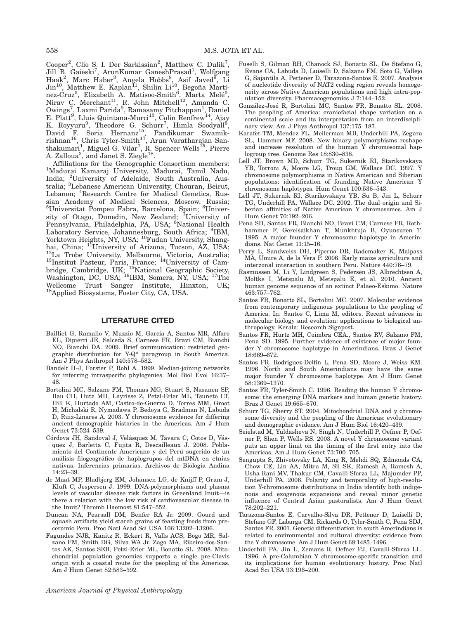Cooper<sup>2</sup>, Clio S. I. Der Sarkissian<sup>2</sup>, Matthew C. Dulik<sup>7</sup>, Jill B. Gaieski<sup>7</sup>, ArunKumar GaneshPrasad<sup>1</sup>, Wolfgang Haak<sup>2</sup>, Marc Haber<sup>3</sup>, Angela Hobbs<sup>8</sup>, Asif Javed<sup>8</sup>, Li<br>Jin<sup>10</sup>, Matthew E. Kaplan<sup>11</sup>, Shilin Li<sup>10</sup>, Begoña Martínez-Cruz<sup>5</sup>, Elizabeth A. Matisoo-Smith<sup>6</sup>, Marta Melé<sup>5</sup>,<br>Nirav C. Merchant<sup>11</sup>, R. John Mitchell<sup>12</sup>, Amanda C. Owings<sup>7</sup>, Laxmi Parida<sup>9</sup>, Ramasamy Pitchappan<sup>1</sup>, Daniel<br>E. Platt<sup>9</sup>, Lluis Quintana-Murci<sup>13</sup>, Colin Renfrew<sup>14</sup>, Ajay K. Royyuru<sup>9</sup>, Theodore G. Schurr<sup>7</sup>, Himla Soodyall<sup>8</sup>,<br>David F. Soria Hernanz<sup>15</sup>, Pandikumar Swamikrishnan<sup>16</sup>, Chris Tyler-Smith<sup>17</sup>, Arun Varatharajan Santhakumari<sup>1</sup>, Miguel G. Vilar<sup>7</sup>, R. Spencer Wells<sup>15</sup>, Pierre A. Zalloua<sup>3</sup>, and Janet S. Ziegle<sup>18</sup>.

Affiliations for the Genographic Consortium members: <sup>1</sup> <sup>1</sup>Madurai Kamaraj University, Madurai, Tamil Nadu, India; <sup>2</sup> University of Adelaide, South Australia, Aus-tralia; <sup>3</sup> Lebanese American University, Chouran, Beirut, Lebanon; <sup>4</sup>Research Centre for Medical Genetics, Russian Academy of Medical Sciences, Moscow, Russia;<br><sup>5</sup>Universitat Pompeu Fabra, Barcelona, Spain; <sup>6</sup>University of Otago, Dunedin, New Zealand; <sup>7</sup>University of Pennsylvania, Philadelphia, PA, USA; <sup>8</sup>National Health Laboratory Service, Johannesburg, South Africa; <sup>9</sup>IBM, Yorktown Heights, NY, USA; <sup>10</sup>Fudan University, Shanghai, China; <sup>11</sup>University of Arizona, Tucson, AZ, USA; <sup>12</sup>La Trobe University, Melbourne, Victoria, Australia; 13Institut Pasteur, Paris, France; <sup>14</sup>University of Cambridge, Cambridge, UK; <sup>15</sup>National Geographic Society, Washington, DC, USA; <sup>16</sup>IBM, Somers, NY, USA; <sup>17</sup>The Wellcome Trust Sanger Institute, Hinxton, UK; 18Applied Biosystems, Foster City, CA, USA.

## LITERATURE CITED

- Bailliet G, Ramallo V, Muzzio M, García A, Santos MR, Alfaro EL, Dipierri JE, Salceda S, Carnese FR, Bravi CM, Bianchi NO, Bianchi DA. 2009. Brief communication: restricted geographic distribution for Y-Q\* paragroup in South America. Am J Phys Anthropol 140:578–582.
- Bandelt H-J, Forster P, Rohl A. 1999. Median-joining networks for inferring intraspecific phylogenies. Mol Biol Evol 16:37– 48.
- Bortolini MC, Salzano FM, Thomas MG, Stuart S, Nasanen SP, Bau CH, Hutz MH, Layrisse Z, Petzl-Erler ML, Tsuneto LT, Hill K, Hurtado AM, Castro-de-Guerra D, Torres MM, Groot H, Michalski R, Nymadawa P, Bedoya G, Bradman N, Labuda D, Ruiz-Linares A. 2003. Y chromosome evidence for differing ancient demographic histories in the Americas. Am J Hum Genet 73:524–539.
- Córdova JH, Sandoval J, Velásquez M, Távara C, Cotos D, Vásquez J, Barletta C, Fujita R, Descailleaux J. 2008. Poblamiento del Continente Americano y del Perú sugerido de un análisis filogeográfico de haplogrupos del mtDNA en etnias nativas. Inferencias primarias. Archivos de Biología Andina 14:23–39.
- de Maat MP, Bladbjerg EM, Johansen LG, de Knijff P, Gram J, Kluft C, Jespersen J. 1999. DNA-polymorphisms and plasma levels of vascular disease risk factors in Greenland Inuit—is there a relation with the low risk of cardiovascular disease in the Inuit? Thromb Haemost 81:547–552.
- Duncan NA, Pearsall DM, Benfer RA Jr. 2009. Gourd and squash artifacts yield starch grains of feasting foods from preceramic Peru. Proc Natl Acad Sci USA 106:13202–13206.
- Fagundes NJR, Kanitz R, Eckert R, Valls ACS, Bogo MR, Salzano FM, Smith DG, Silva WA Jr, Zago MA, Ribeiro-dos-Santos AK, Santos SEB, Petzl-Erler ML, Bonatto SL. 2008. Mitochondrial population genomics supports a single pre-Clovis origin with a coastal route for the peopling of the Americas. Am J Hum Genet 82:583–592.
- Fuselli S, Gilman RH, Chanock SJ, Bonatto SL, De Stefano G, Evans CA, Labuda D, Luiselli D, Salzano FM, Soto G, Vallejo G, Sajantila A, Pettener D, Tarazona-Santos E. 2007. Analysis of nucleotide diversity of NAT2 coding region reveals homogeneity across Native American populations and high intra-population diversity. Pharmacogenomics J 7:144–152.
- González-José R, Bortolini MC, Santos FR, Bonatto SL. 2008. The peopling of America: craniofacial shape variation on a continental scale and its interpretation from an interdisciplinary view. Am J Phys Anthropol 137:175–187.
- Karafet TM, Mendez FL, Meilerman MB, Underhill PA, Zegura SL, Hammer MF. 2008. New binary polymorphisms reshape and increase resolution of the human Y chromosomal haplogroup tree. Genome Res 18:830–838.
- Lell JT, Brown MD, Schurr TG, Sukernik RI, Starikovskaya YB, Torroni A, Moore LG, Troup GM, Wallace DC. 1997. Y chromosome polymorphisms in Native American and Siberian populations: identification of founding Native American Y chromosome haplotypes. Hum Genet 100:536–543.
- Lell JT, Sukernik RI, Starikovskaya YB, Su B, Jin L, Schurr TG, Underhill PA, Wallace DC. 2002. The dual origin and Siberian affinities of Native American Y chromosomes. Am J Hum Genet 70:192–206.
- Pena SD, Santos FR, Bianchi NO, Bravi CM, Carnese FR, Rothhammer F, Gerelsaikhan T, Munkhtuja B, Oyunsuren T. 1995. A major founder Y chromosome haplotype in Amerindians. Nat Genet 11:15–16.
- Perry L, Sandweiss DH, Piperno DR, Rademaker K, Malpass MA, Umire A, de la Vera P. 2006. Early maize agriculture and interzonal interaction in southern Peru. Nature 440:76–79.
- Rasmussen M, Li Y, Lindgreen S, Pedersen JS, Albrechtsen A, Moltke I, Metspalu M, Metspalu E, et al. 2010. Ancient human genome sequence of an extinct Palaeo-Eskimo. Nature 463:757–762.
- Santos FR, Bonatto SL, Bortolini MC. 2007. Molecular evidence from contemporary indigenous populations to the peopling of America. In: Santos C, Lima M, editors. Recent advances in molecular biology and evolution: applications to biological anthropology. Kerala: Research Signpost.
- Santos FR, Hurtz MH, Coimbra CEA., Santos RV, Salzano FM, Pena SD. 1995. Further evidence of existence of major founder Y chromosome haplotype in Amerindians. Braz J Genet 18:669–672.
- Santos FR, Rodriguez-Delfin L, Pena SD, Moore J, Weiss KM. 1996. North and South Amerindians may have the same major founder Y chromosome haplotype. Am J Hum Genet 58:1369–1370.
- Santos FR, Tyler-Smith C. 1996. Reading the human Y chromosome: the emerging DNA markers and human genetic history. Braz J Genet 19:665–670.
- Schurr TG, Sherry ST. 2004. Mitochondrial DNA and y chromosome diversity and the peopling of the Americas: evolutionary and demographic evidence. Am J Hum Biol 16:420–439.
- Seielstad M, Yuldasheva N, Singh N, Underhill P, Oefner P, Oefner P, Shen P, Wells RS. 2003. A novel Y chromosome variant puts an upper limit on the timing of the first entry into the Americas. Am J Hum Genet 73:700–705.
- Sengupta S, Zhivotovsky LA, King R, Mehdi SQ, Edmonds CA, Chow CE, Lin AA, Mitra M, Sil SK, Ramesh A, Ramesh A, Usha Rani MV, Thakur CM, Cavalli-Sforza LL, Majumder PP, Underhill PA. 2006. Polarity and temporality of high-resolution Y-chromosome distributions in India identify both indigenous and exogenous expansions and reveal minor genetic influence of Central Asian pastoralists. Am J Hum Genet 78:202–221.
- Tarazona-Santos E, Carvalho-Silva DR, Pettener D, Luiselli D, Stefano GF, Labarga CM, Rickards O, Tyler-Smith C, Pena SDJ, Santos FR. 2001. Genetic differentiation in south Amerindians is related to environmental and cultural diversity: evidence from the Y chromosome. Am J Hum Genet 68:1485–1496.
- Underhill PA, Jin L, Zemans R, Oefner PJ, Cavalli-Sforza LL. 1996. A pre-Columbian Y chromosome-specific transition and its implications for human evolutionary history. Proc Natl Acad Sci USA 93:196–200.